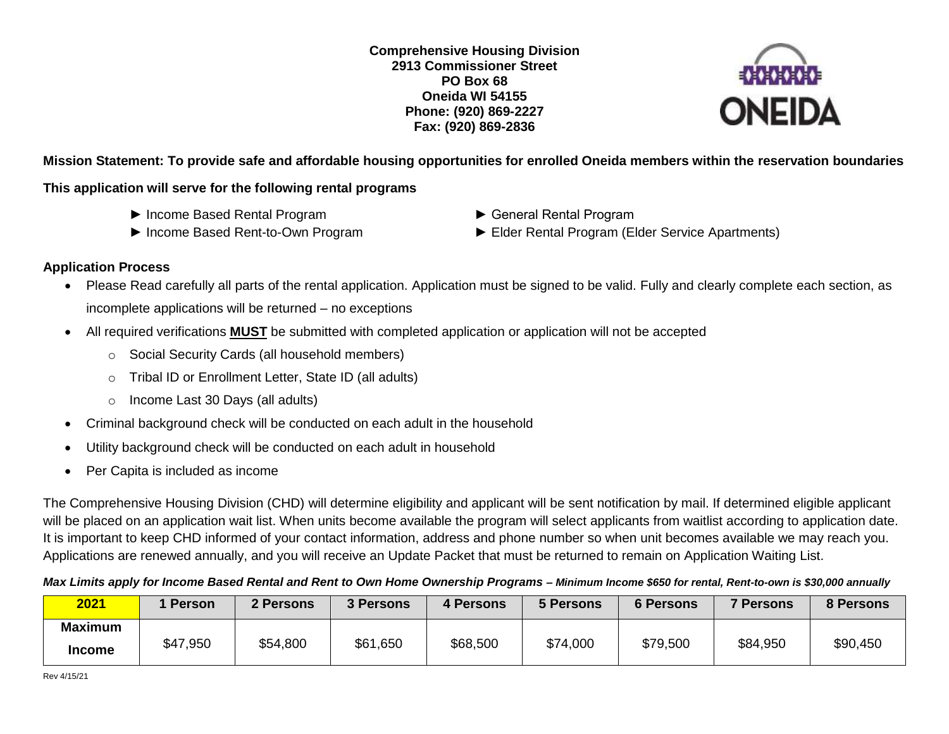**Comprehensive Housing Division 2913 Commissioner Street PO Box 68 Oneida WI 54155 Phone: (920) 869-2227 Fax: (920) 869-2836**



**Mission Statement: To provide safe and affordable housing opportunities for enrolled Oneida members within the reservation boundaries**

### **This application will serve for the following rental programs**

- ► Income Based Rental Program ► General Rental Program
- 
- 
- ► Income Based Rent-to-Own Program ► Elder Rental Program (Elder Service Apartments)

### **Application Process**

- Please Read carefully all parts of the rental application. Application must be signed to be valid. Fully and clearly complete each section, as incomplete applications will be returned – no exceptions
- All required verifications **MUST** be submitted with completed application or application will not be accepted
	- o Social Security Cards (all household members)
	- o Tribal ID or Enrollment Letter, State ID (all adults)
	- o Income Last 30 Days (all adults)
- Criminal background check will be conducted on each adult in the household
- Utility background check will be conducted on each adult in household
- Per Capita is included as income

The Comprehensive Housing Division (CHD) will determine eligibility and applicant will be sent notification by mail. If determined eligible applicant will be placed on an application wait list. When units become available the program will select applicants from waitlist according to application date. It is important to keep CHD informed of your contact information, address and phone number so when unit becomes available we may reach you. Applications are renewed annually, and you will receive an Update Packet that must be returned to remain on Application Waiting List.

#### *Max Limits apply for Income Based Rental and Rent to Own Home Ownership Programs – Minimum Income \$650 for rental, Rent-to-own is \$30,000 annually*

| 2021                            | 1 Person | 2 Persons | 3 Persons | 4 Persons | <b>5 Persons</b> | <b>6 Persons</b> | <b>7 Persons</b> | 8 Persons |
|---------------------------------|----------|-----------|-----------|-----------|------------------|------------------|------------------|-----------|
| <b>Maximum</b><br><b>Income</b> | \$47,950 | \$54,800  | \$61,650  | \$68,500  | \$74,000         | \$79,500         | \$84,950         | \$90,450  |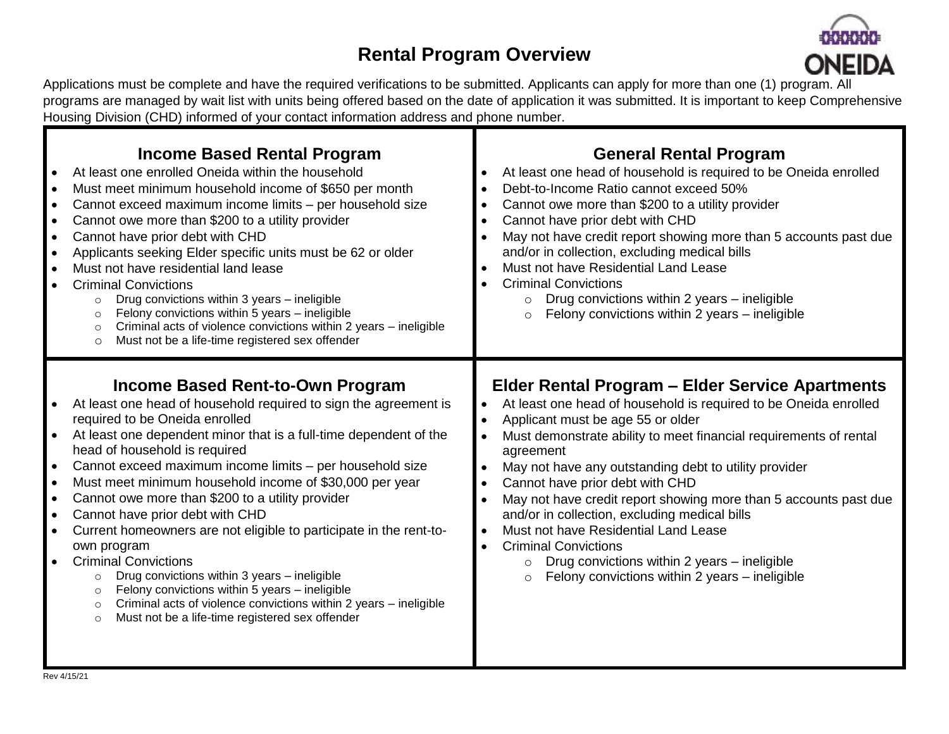# **Rental Program Overview**



Applications must be complete and have the required verifications to be submitted. Applicants can apply for more than one (1) program. All programs are managed by wait list with units being offered based on the date of application it was submitted. It is important to keep Comprehensive Housing Division (CHD) informed of your contact information address and phone number.

| <b>Income Based Rental Program</b><br>At least one enrolled Oneida within the household<br>Must meet minimum household income of \$650 per month<br>Cannot exceed maximum income limits - per household size<br>Cannot owe more than \$200 to a utility provider<br>Cannot have prior debt with CHD<br>Applicants seeking Elder specific units must be 62 or older<br>Must not have residential land lease<br><b>Criminal Convictions</b><br>Drug convictions within 3 years - ineligible<br>$\circ$<br>Felony convictions within 5 years - ineligible<br>$\circ$<br>Criminal acts of violence convictions within 2 years - ineligible<br>$\circ$<br>Must not be a life-time registered sex offender<br>$\circ$                                                                                                                                             | <b>General Rental Program</b><br>At least one head of household is required to be Oneida enrolled<br>Debt-to-Income Ratio cannot exceed 50%<br>Cannot owe more than \$200 to a utility provider<br>$\bullet$<br>Cannot have prior debt with CHD<br>$\bullet$<br>May not have credit report showing more than 5 accounts past due<br>and/or in collection, excluding medical bills<br>Must not have Residential Land Lease<br>$\bullet$<br><b>Criminal Convictions</b><br>Drug convictions within 2 years - ineligible<br>$\circ$<br>Felony convictions within 2 years - ineligible<br>$\circ$                                                                                                                                                                |
|-------------------------------------------------------------------------------------------------------------------------------------------------------------------------------------------------------------------------------------------------------------------------------------------------------------------------------------------------------------------------------------------------------------------------------------------------------------------------------------------------------------------------------------------------------------------------------------------------------------------------------------------------------------------------------------------------------------------------------------------------------------------------------------------------------------------------------------------------------------|--------------------------------------------------------------------------------------------------------------------------------------------------------------------------------------------------------------------------------------------------------------------------------------------------------------------------------------------------------------------------------------------------------------------------------------------------------------------------------------------------------------------------------------------------------------------------------------------------------------------------------------------------------------------------------------------------------------------------------------------------------------|
| <b>Income Based Rent-to-Own Program</b><br>At least one head of household required to sign the agreement is<br>required to be Oneida enrolled<br>At least one dependent minor that is a full-time dependent of the<br>head of household is required<br>Cannot exceed maximum income limits - per household size<br>Must meet minimum household income of \$30,000 per year<br>Cannot owe more than \$200 to a utility provider<br>Cannot have prior debt with CHD<br>Current homeowners are not eligible to participate in the rent-to-<br>own program<br><b>Criminal Convictions</b><br>Drug convictions within 3 years - ineligible<br>$\circ$<br>Felony convictions within 5 years - ineligible<br>$\circ$<br>Criminal acts of violence convictions within 2 years - ineligible<br>$\circ$<br>Must not be a life-time registered sex offender<br>$\circ$ | <b>Elder Rental Program - Elder Service Apartments</b><br>At least one head of household is required to be Oneida enrolled<br>$\bullet$<br>Applicant must be age 55 or older<br>$\bullet$<br>Must demonstrate ability to meet financial requirements of rental<br>$\bullet$<br>agreement<br>May not have any outstanding debt to utility provider<br>$\bullet$<br>Cannot have prior debt with CHD<br>$\bullet$<br>May not have credit report showing more than 5 accounts past due<br>and/or in collection, excluding medical bills<br>Must not have Residential Land Lease<br>$\bullet$<br><b>Criminal Convictions</b><br>$\bullet$<br>Drug convictions within 2 years - ineligible<br>$\circ$<br>Felony convictions within 2 years - ineligible<br>$\circ$ |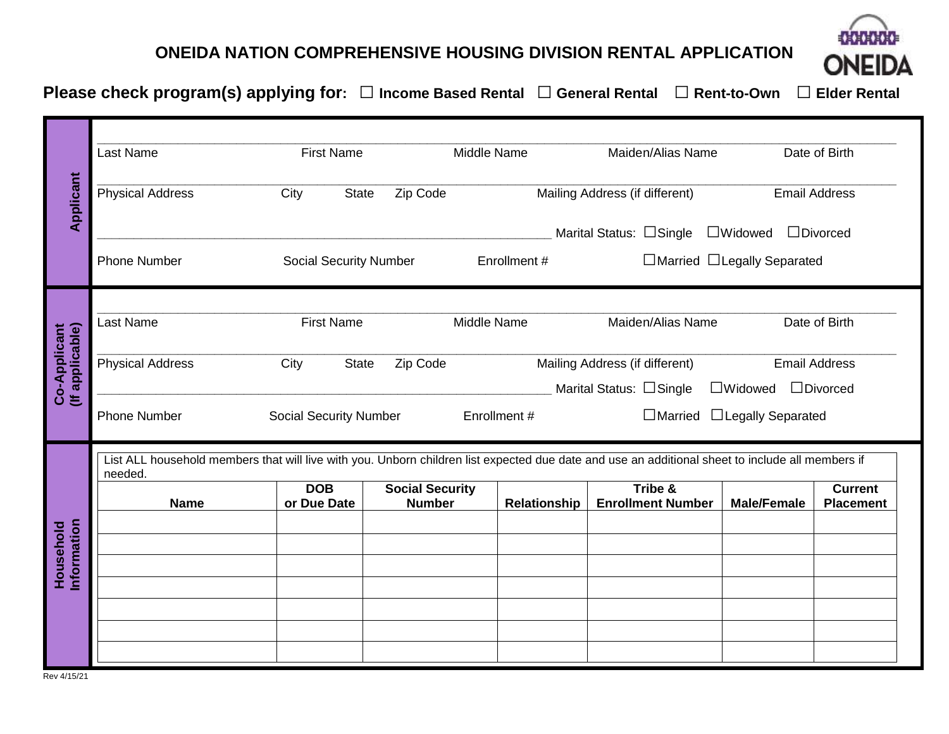## **ONEIDA NATION COMPREHENSIVE HOUSING DIVISION RENTAL APPLICATION**



**Please check program(s) applying for: □ Income Based Rental □ General Rental □ Rent-to-Own □ Elder Rental**

|                                 | <b>First Name</b><br>Last Name                                                                                                                              |                               |                                         | Maiden/Alias Name<br>Middle Name |                                                           | Date of Birth                          |                                    |  |
|---------------------------------|-------------------------------------------------------------------------------------------------------------------------------------------------------------|-------------------------------|-----------------------------------------|----------------------------------|-----------------------------------------------------------|----------------------------------------|------------------------------------|--|
| Applicant                       | <b>Physical Address</b>                                                                                                                                     | City<br><b>State</b>          | Zip Code                                |                                  | Mailing Address (if different)                            | <b>Email Address</b>                   |                                    |  |
|                                 |                                                                                                                                                             |                               |                                         |                                  | Marital Status: □Single                                   | $\Box$ Widowed                         | $\Box$ Divorced                    |  |
|                                 | <b>Phone Number</b>                                                                                                                                         | <b>Social Security Number</b> |                                         | Enrollment #                     |                                                           | □Married □Legally Separated            |                                    |  |
|                                 |                                                                                                                                                             |                               |                                         |                                  |                                                           |                                        |                                    |  |
|                                 | Last Name                                                                                                                                                   | <b>First Name</b>             |                                         | Middle Name                      | Maiden/Alias Name                                         |                                        | Date of Birth                      |  |
| (If applicable)<br>Co-Applicant | <b>Physical Address</b>                                                                                                                                     | City<br><b>State</b>          | Zip Code                                |                                  | Mailing Address (if different)<br>Marital Status: □Single | <b>Email Address</b><br>$\Box$ Widowed | $\Box$ Divorced                    |  |
|                                 | <b>Phone Number</b>                                                                                                                                         | <b>Social Security Number</b> |                                         | Enrollment #                     | $\Box$ Married                                            | □Legally Separated                     |                                    |  |
|                                 | List ALL household members that will live with you. Unborn children list expected due date and use an additional sheet to include all members if<br>needed. |                               |                                         |                                  |                                                           |                                        |                                    |  |
|                                 | <b>Name</b>                                                                                                                                                 | <b>DOB</b><br>or Due Date     | <b>Social Security</b><br><b>Number</b> | <b>Relationship</b>              | Tribe &<br><b>Enrollment Number</b>                       | <b>Male/Female</b>                     | <b>Current</b><br><b>Placement</b> |  |
|                                 |                                                                                                                                                             |                               |                                         |                                  |                                                           |                                        |                                    |  |
|                                 |                                                                                                                                                             |                               |                                         |                                  |                                                           |                                        |                                    |  |
|                                 |                                                                                                                                                             |                               |                                         |                                  |                                                           |                                        |                                    |  |
| Information<br>Household        |                                                                                                                                                             |                               |                                         |                                  |                                                           |                                        |                                    |  |
|                                 |                                                                                                                                                             |                               |                                         |                                  |                                                           |                                        |                                    |  |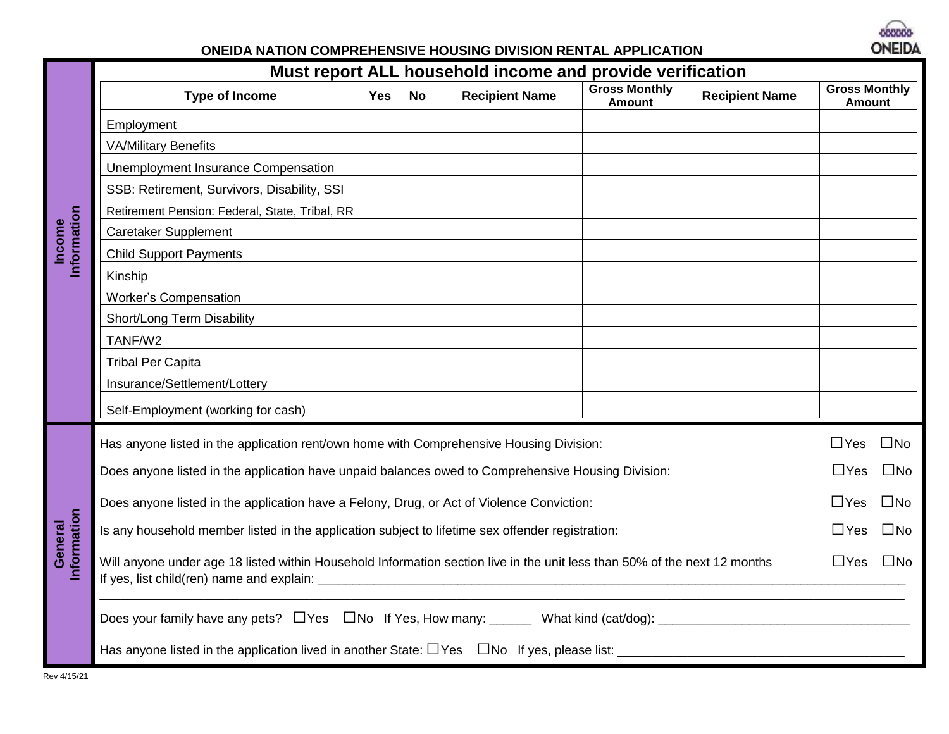

## **ONEIDA NATION COMPREHENSIVE HOUSING DIVISION RENTAL APPLICATION**

|                        | Must report ALL household income and provide verification                                                                 |            |           |                       |                                       |                       |                                       |              |
|------------------------|---------------------------------------------------------------------------------------------------------------------------|------------|-----------|-----------------------|---------------------------------------|-----------------------|---------------------------------------|--------------|
|                        | <b>Type of Income</b>                                                                                                     | <b>Yes</b> | <b>No</b> | <b>Recipient Name</b> | <b>Gross Monthly</b><br><b>Amount</b> | <b>Recipient Name</b> | <b>Gross Monthly</b><br><b>Amount</b> |              |
|                        | Employment                                                                                                                |            |           |                       |                                       |                       |                                       |              |
|                        | <b>VA/Military Benefits</b>                                                                                               |            |           |                       |                                       |                       |                                       |              |
|                        | Unemployment Insurance Compensation                                                                                       |            |           |                       |                                       |                       |                                       |              |
|                        | SSB: Retirement, Survivors, Disability, SSI                                                                               |            |           |                       |                                       |                       |                                       |              |
|                        | Retirement Pension: Federal, State, Tribal, RR                                                                            |            |           |                       |                                       |                       |                                       |              |
| Information<br>Income  | Caretaker Supplement                                                                                                      |            |           |                       |                                       |                       |                                       |              |
|                        | <b>Child Support Payments</b>                                                                                             |            |           |                       |                                       |                       |                                       |              |
|                        | Kinship                                                                                                                   |            |           |                       |                                       |                       |                                       |              |
|                        | <b>Worker's Compensation</b>                                                                                              |            |           |                       |                                       |                       |                                       |              |
|                        | Short/Long Term Disability                                                                                                |            |           |                       |                                       |                       |                                       |              |
|                        | TANF/W2                                                                                                                   |            |           |                       |                                       |                       |                                       |              |
|                        | <b>Tribal Per Capita</b>                                                                                                  |            |           |                       |                                       |                       |                                       |              |
|                        | Insurance/Settlement/Lottery                                                                                              |            |           |                       |                                       |                       |                                       |              |
|                        | Self-Employment (working for cash)                                                                                        |            |           |                       |                                       |                       |                                       |              |
|                        | Has anyone listed in the application rent/own home with Comprehensive Housing Division:                                   |            |           |                       |                                       |                       | $\Box$ Yes                            | $\square$ No |
|                        | Does anyone listed in the application have unpaid balances owed to Comprehensive Housing Division:                        |            |           |                       |                                       |                       |                                       |              |
|                        | Does anyone listed in the application have a Felony, Drug, or Act of Violence Conviction:                                 |            |           |                       |                                       |                       |                                       |              |
|                        | Is any household member listed in the application subject to lifetime sex offender registration:                          |            |           |                       |                                       |                       |                                       | $\square$ No |
| Information<br>General | Will anyone under age 18 listed within Household Information section live in the unit less than 50% of the next 12 months |            |           |                       |                                       |                       |                                       | $\square$ No |
|                        |                                                                                                                           |            |           |                       |                                       |                       |                                       |              |
|                        |                                                                                                                           |            |           |                       |                                       |                       |                                       |              |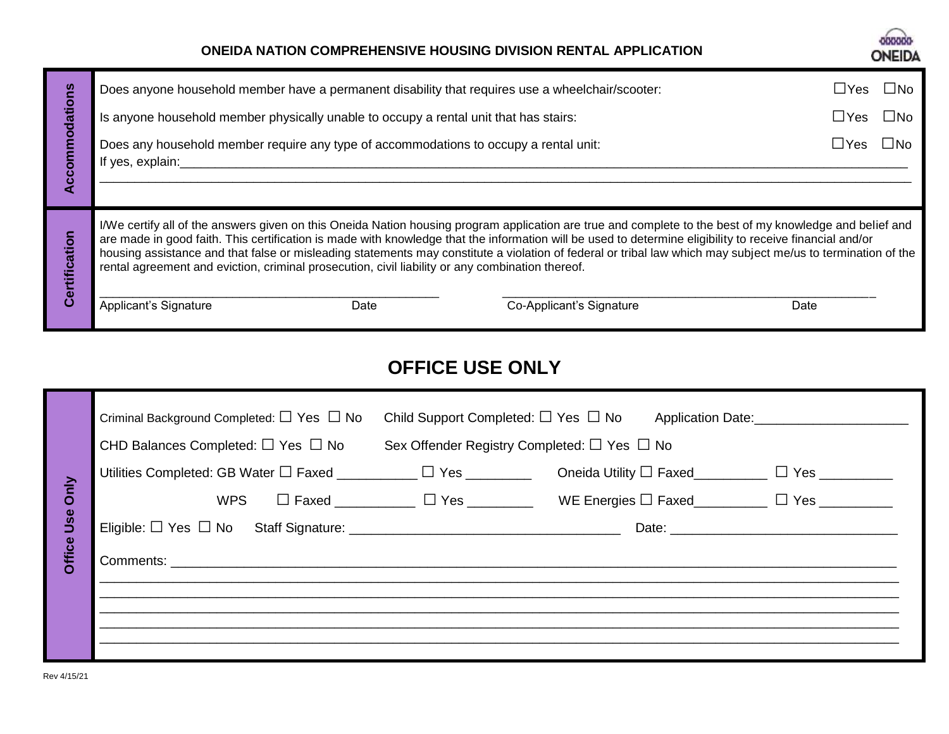## **ONEIDA NATION COMPREHENSIVE HOUSING DIVISION RENTAL APPLICATION**



| ဥ္      |                                                                                                           |      | Does anyone household member have a permanent disability that requires use a wheelchair/scooter:                                                                                                                                                                                                                                                                                                                                                                                     | l INo<br>$\sqcup$ Yes |
|---------|-----------------------------------------------------------------------------------------------------------|------|--------------------------------------------------------------------------------------------------------------------------------------------------------------------------------------------------------------------------------------------------------------------------------------------------------------------------------------------------------------------------------------------------------------------------------------------------------------------------------------|-----------------------|
| ក្ដ     | Is anyone household member physically unable to occupy a rental unit that has stairs:                     |      |                                                                                                                                                                                                                                                                                                                                                                                                                                                                                      | $\Box$ Yes<br>l INo   |
|         | Does any household member require any type of accommodations to occupy a rental unit:<br>If yes, explain: |      |                                                                                                                                                                                                                                                                                                                                                                                                                                                                                      | $\sqcup$ Yes<br>l INo |
|         |                                                                                                           |      |                                                                                                                                                                                                                                                                                                                                                                                                                                                                                      |                       |
| ficatio | rental agreement and eviction, criminal prosecution, civil liability or any combination thereof.          |      | I/We certify all of the answers given on this Oneida Nation housing program application are true and complete to the best of my knowledge and belief and<br>are made in good faith. This certification is made with knowledge that the information will be used to determine eligibility to receive financial and/or<br>housing assistance and that false or misleading statements may constitute a violation of federal or tribal law which may subject me/us to termination of the |                       |
| ω       | Applicant's Signature                                                                                     | Date | Co-Applicant's Signature                                                                                                                                                                                                                                                                                                                                                                                                                                                             | Date                  |

# **OFFICE USE ONLY**

|             | Criminal Background Completed: $\Box$ Yes $\Box$ No                      | Child Support Completed: $\square$ Yes $\square$ No |                                                             |                         |
|-------------|--------------------------------------------------------------------------|-----------------------------------------------------|-------------------------------------------------------------|-------------------------|
|             | CHD Balances Completed: $\Box$ Yes $\Box$ No                             |                                                     | Sex Offender Registry Completed: $\Box$ Yes $\Box$ No       |                         |
|             | Utilities Completed: GB Water $\Box$ Faxed $\Box$ Thes $\Box$ Yes $\Box$ |                                                     | Oneida Utility $\Box$ Faxed                                 | $\square$ Yes _________ |
| <b>Only</b> |                                                                          |                                                     | WPS $\Box$ Faxed $\Box$ $\Box$ Yes WE Energies $\Box$ Faxed | $\Box$ Yes              |
| Use         |                                                                          |                                                     |                                                             |                         |
| Office      |                                                                          |                                                     |                                                             |                         |
|             |                                                                          |                                                     |                                                             |                         |
|             |                                                                          |                                                     |                                                             |                         |
|             |                                                                          |                                                     |                                                             |                         |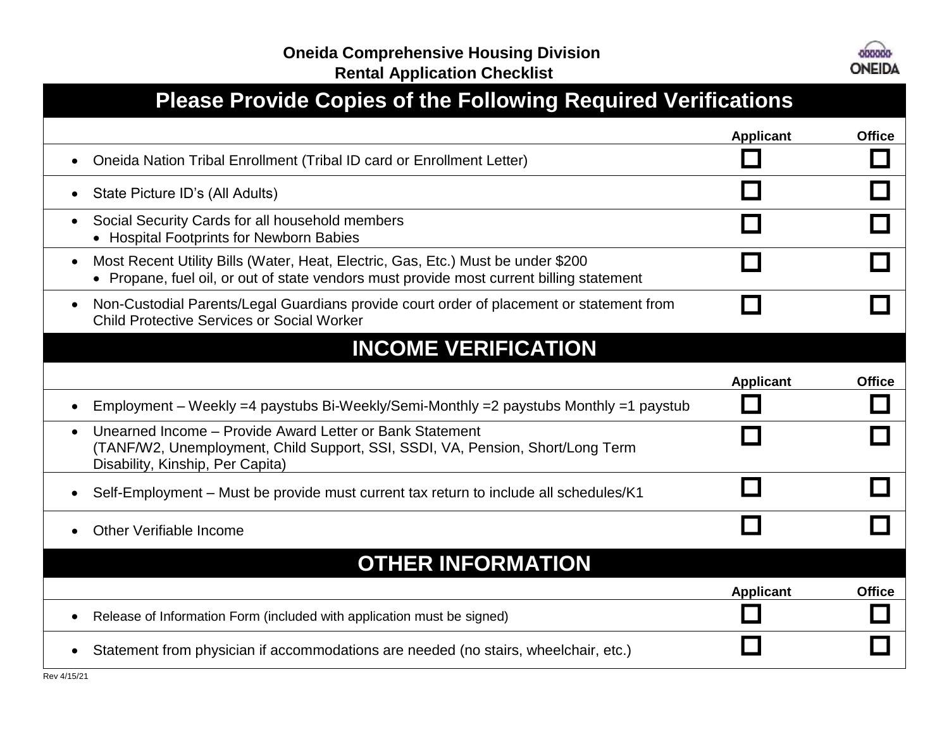

| <b>Please Provide Copies of the Following Required Verifications</b>                                                                                                                        |                  |               |
|---------------------------------------------------------------------------------------------------------------------------------------------------------------------------------------------|------------------|---------------|
|                                                                                                                                                                                             | <b>Applicant</b> | <b>Office</b> |
| Oneida Nation Tribal Enrollment (Tribal ID card or Enrollment Letter)<br>$\bullet$                                                                                                          |                  |               |
| State Picture ID's (All Adults)<br>$\bullet$                                                                                                                                                |                  |               |
| Social Security Cards for all household members<br>$\bullet$<br>• Hospital Footprints for Newborn Babies                                                                                    |                  |               |
| Most Recent Utility Bills (Water, Heat, Electric, Gas, Etc.) Must be under \$200<br>$\bullet$<br>• Propane, fuel oil, or out of state vendors must provide most current billing statement   |                  |               |
| Non-Custodial Parents/Legal Guardians provide court order of placement or statement from<br>$\bullet$<br><b>Child Protective Services or Social Worker</b>                                  |                  |               |
| <b>INCOME VERIFICATION</b>                                                                                                                                                                  |                  |               |
|                                                                                                                                                                                             | <b>Applicant</b> | <b>Office</b> |
| Employment – Weekly =4 paystubs Bi-Weekly/Semi-Monthly =2 paystubs Monthly =1 paystub<br>$\bullet$                                                                                          |                  |               |
| Unearned Income - Provide Award Letter or Bank Statement<br>$\bullet$<br>(TANF/W2, Unemployment, Child Support, SSI, SSDI, VA, Pension, Short/Long Term<br>Disability, Kinship, Per Capita) |                  |               |
| Self-Employment – Must be provide must current tax return to include all schedules/K1<br>$\bullet$                                                                                          |                  |               |
| Other Verifiable Income                                                                                                                                                                     |                  |               |
| <b>OTHER INFORMATION</b>                                                                                                                                                                    |                  |               |
|                                                                                                                                                                                             | <b>Applicant</b> | <b>Office</b> |
| Release of Information Form (included with application must be signed)<br>$\bullet$                                                                                                         |                  |               |
| Statement from physician if accommodations are needed (no stairs, wheelchair, etc.)                                                                                                         |                  |               |